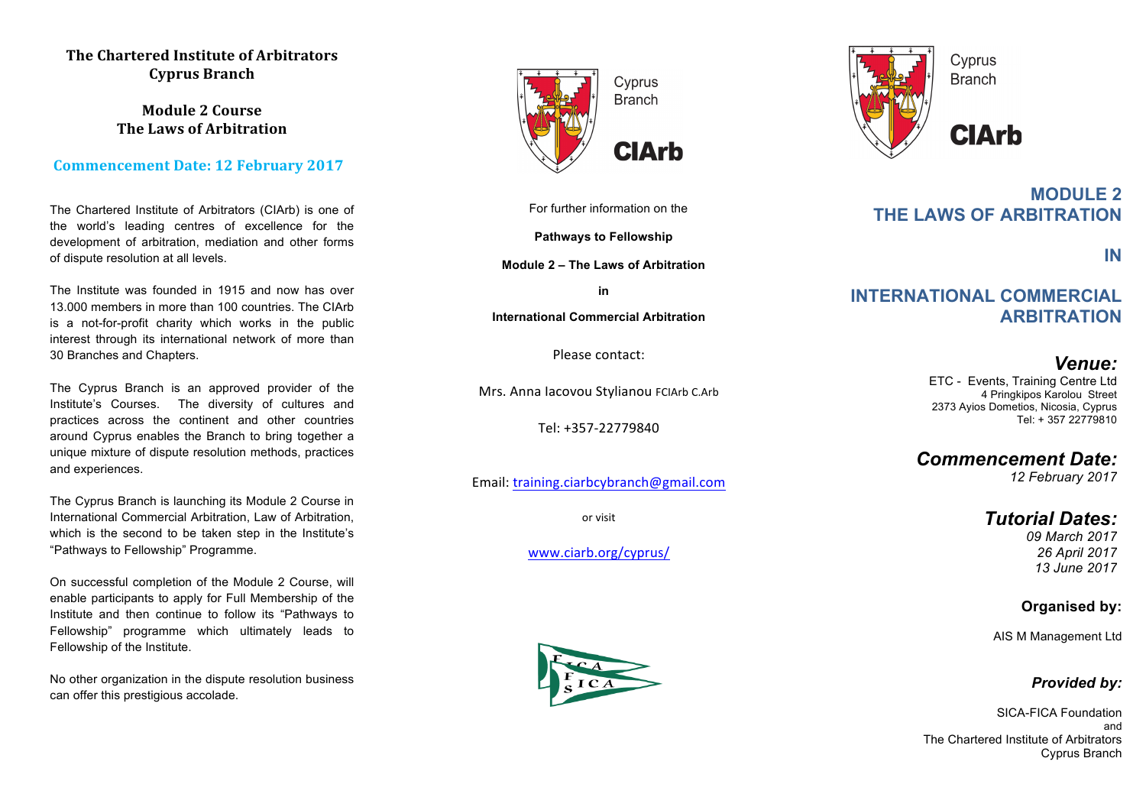## **The Chartered Institute of Arbitrators Cyprus Branch**

**Module 2 Course The Laws of Arbitration**

### **Commencement Date: 12 February 2017**

The Chartered Institute of Arbitrators (CIArb) is one of the world's leading centres of excellence for the development of arbitration, mediation and other forms of dispute resolution at all levels.

The Institute was founded in 1915 and now has over 13.000 members in more than 100 countries. The CIArb is a not-for-profit charity which works in the public interest through its international network of more than 30 Branches and Chapters.

The Cyprus Branch is an approved provider of the Institute's Courses. The diversity of cultures and practices across the continent and other countries around Cyprus enables the Branch to bring together a unique mixture of dispute resolution methods, practices and experiences.

The Cyprus Branch is launching its Module 2 Course in International Commercial Arbitration, Law of Arbitration, which is the second to be taken step in the Institute's "Pathways to Fellowship" Programme.

On successful completion of the Module 2 Course, will enable participants to apply for Full Membership of the Institute and then continue to follow its "Pathways to Fellowship" programme which ultimately leads to Fellowship of the Institute.

No other organization in the dispute resolution business can offer this prestigious accolade.



For further information on the

**Pathways to Fellowship**

**Module 2 – The Laws of Arbitration**

**in**

**International Commercial Arbitration**

Please contact:

Mrs. Anna Iacovou Stylianou FCIArb C.Arb

Tel: +357-22779840

Email: training.ciarbcybranch@gmail.com

or visit

www.ciarb.org/cyprus/



Cyprus **Branch ClArb** 

> **MODULE 2 THE LAWS OF ARBITRATION**

 *IN* IN **IN** 

# **INTERNATIONAL COMMERCIAL ARBITRATION**

*Venue:* ETC - Events, Training Centre Ltd 4 Pringkipos Karolou Street 2373 Ayios Dometios, Nicosia, Cyprus Tel: + 357 22779810

# *Commencement Date:*

*12 February 2017*

*Tutorial Dates: 09 March 2017*

*26 April 2017 13 June 2017*

 **Organised by:**

AIS M Management Ltd

## *Provided by:*

SICA-FICA Foundation and The Chartered Institute of Arbitrators Cyprus Branch